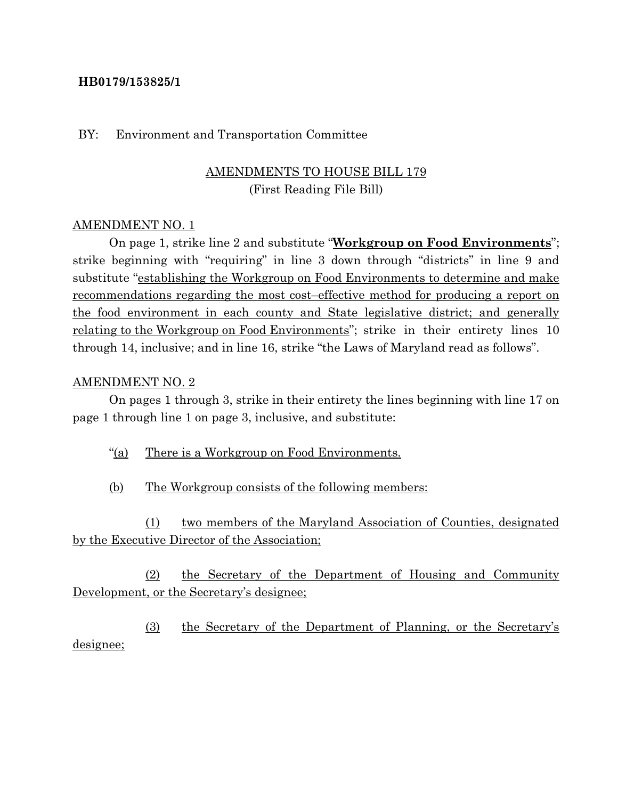### **HB0179/153825/1**

#### BY: Environment and Transportation Committee

# AMENDMENTS TO HOUSE BILL 179 (First Reading File Bill)

### AMENDMENT NO. 1

On page 1, strike line 2 and substitute "**Workgroup on Food Environments**"; strike beginning with "requiring" in line 3 down through "districts" in line 9 and substitute "establishing the Workgroup on Food Environments to determine and make recommendations regarding the most cost–effective method for producing a report on the food environment in each county and State legislative district; and generally relating to the Workgroup on Food Environments"; strike in their entirety lines 10 through 14, inclusive; and in line 16, strike "the Laws of Maryland read as follows".

#### AMENDMENT NO. 2

On pages 1 through 3, strike in their entirety the lines beginning with line 17 on page 1 through line 1 on page 3, inclusive, and substitute:

"(a) There is a Workgroup on Food Environments.

(b) The Workgroup consists of the following members:

(1) two members of the Maryland Association of Counties, designated by the Executive Director of the Association;

(2) the Secretary of the Department of Housing and Community Development, or the Secretary's designee;

(3) the Secretary of the Department of Planning, or the Secretary's designee;